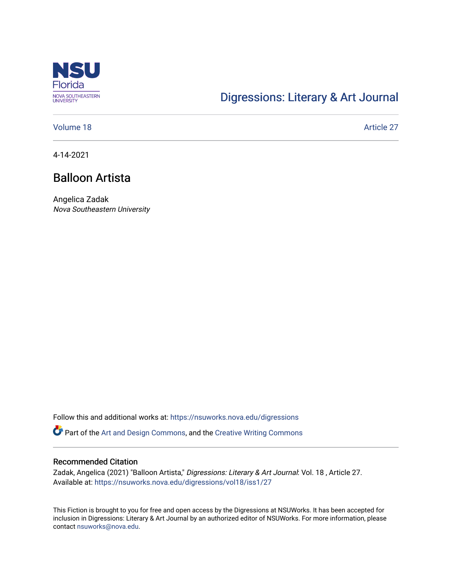

# [Digressions: Literary & Art Journal](https://nsuworks.nova.edu/digressions)

[Volume 18](https://nsuworks.nova.edu/digressions/vol18) Article 27

4-14-2021

# Balloon Artista

Angelica Zadak Nova Southeastern University

Follow this and additional works at: [https://nsuworks.nova.edu/digressions](https://nsuworks.nova.edu/digressions?utm_source=nsuworks.nova.edu%2Fdigressions%2Fvol18%2Fiss1%2F27&utm_medium=PDF&utm_campaign=PDFCoverPages) 

Part of the [Art and Design Commons](http://network.bepress.com/hgg/discipline/1049?utm_source=nsuworks.nova.edu%2Fdigressions%2Fvol18%2Fiss1%2F27&utm_medium=PDF&utm_campaign=PDFCoverPages), and the [Creative Writing Commons](http://network.bepress.com/hgg/discipline/574?utm_source=nsuworks.nova.edu%2Fdigressions%2Fvol18%2Fiss1%2F27&utm_medium=PDF&utm_campaign=PDFCoverPages)

#### Recommended Citation

Zadak, Angelica (2021) "Balloon Artista," Digressions: Literary & Art Journal: Vol. 18, Article 27. Available at: [https://nsuworks.nova.edu/digressions/vol18/iss1/27](https://nsuworks.nova.edu/digressions/vol18/iss1/27?utm_source=nsuworks.nova.edu%2Fdigressions%2Fvol18%2Fiss1%2F27&utm_medium=PDF&utm_campaign=PDFCoverPages)

This Fiction is brought to you for free and open access by the Digressions at NSUWorks. It has been accepted for inclusion in Digressions: Literary & Art Journal by an authorized editor of NSUWorks. For more information, please contact [nsuworks@nova.edu.](mailto:nsuworks@nova.edu)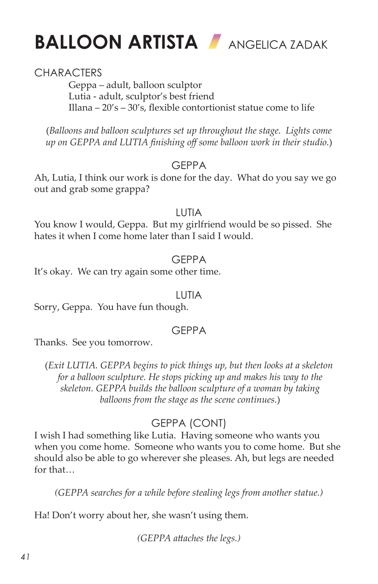



## **CHARACTERS**

Geppa – adult, balloon sculptor Lutia - adult, sculptor's best friend Illana – 20's – 30's, flexible contortionist statue come to life

(*Balloons and balloon sculptures set up throughout the stage. Lights come up on GEPPA and LUTIA finishing off some balloon work in their studio.*)

#### GEPPA

Ah, Lutia, I think our work is done for the day. What do you say we go out and grab some grappa?

#### LUTIA

You know I would, Geppa. But my girlfriend would be so pissed. She hates it when I come home later than I said I would.

#### GEPPA

It's okay. We can try again some other time.

#### LUTIA

Sorry, Geppa. You have fun though.

## **GFPPA**

Thanks. See you tomorrow.

(*Exit LUTIA. GEPPA begins to pick things up, but then looks at a skeleton for a balloon sculpture. He stops picking up and makes his way to the skeleton. GEPPA builds the balloon sculpture of a woman by taking balloons from the stage as the scene continues.*)

## GEPPA (CONT)

I wish I had something like Lutia. Having someone who wants you when you come home. Someone who wants you to come home. But she should also be able to go wherever she pleases. Ah, but legs are needed for that…

*(GEPPA searches for a while before stealing legs from another statue.)*

Ha! Don't worry about her, she wasn't using them.

*(GEPPA attaches the legs.)*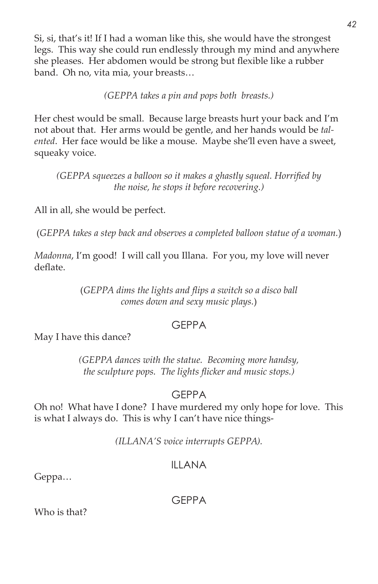Si, si, that's it! If I had a woman like this, she would have the strongest legs. This way she could run endlessly through my mind and anywhere she pleases. Her abdomen would be strong but flexible like a rubber band. Oh no, vita mia, your breasts…

*(GEPPA takes a pin and pops both breasts.)*

Her chest would be small. Because large breasts hurt your back and I'm not about that. Her arms would be gentle, and her hands would be *talented*. Her face would be like a mouse. Maybe she'll even have a sweet, squeaky voice.

*(GEPPA squeezes a balloon so it makes a ghastly squeal. Horrified by the noise, he stops it before recovering.)*

All in all, she would be perfect.

(*GEPPA takes a step back and observes a completed balloon statue of a woman.*)

*Madonna*, I'm good! I will call you Illana. For you, my love will never deflate.

> (*GEPPA dims the lights and flips a switch so a disco ball comes down and sexy music plays.*)

#### GEPPA

May I have this dance?

*(GEPPA dances with the statue. Becoming more handsy, the sculpture pops. The lights flicker and music stops.)*

## GEPPA

Oh no! What have I done? I have murdered my only hope for love. This is what I always do. This is why I can't have nice things-

*(ILLANA'S voice interrupts GEPPA).*

## ILLANA

Geppa…

GEPPA

Who is that?